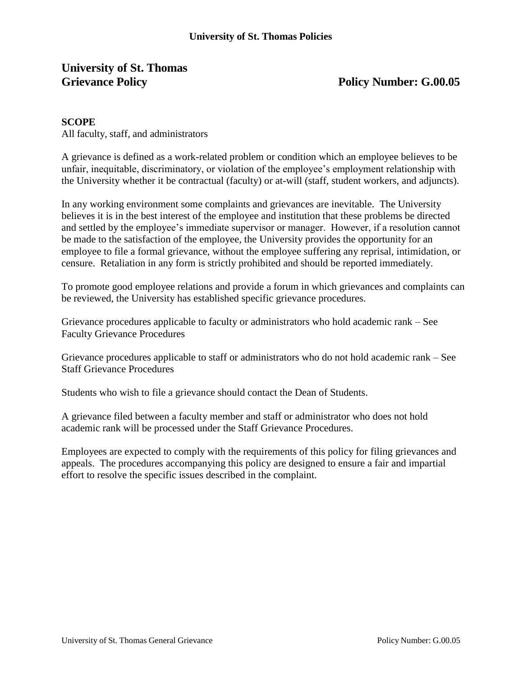## **University of St. Thomas Grievance Policy Policy Number: G.00.05**

## **SCOPE**

All faculty, staff, and administrators

A grievance is defined as a work-related problem or condition which an employee believes to be unfair, inequitable, discriminatory, or violation of the employee's employment relationship with the University whether it be contractual (faculty) or at-will (staff, student workers, and adjuncts).

In any working environment some complaints and grievances are inevitable. The University believes it is in the best interest of the employee and institution that these problems be directed and settled by the employee's immediate supervisor or manager. However, if a resolution cannot be made to the satisfaction of the employee, the University provides the opportunity for an employee to file a formal grievance, without the employee suffering any reprisal, intimidation, or censure. Retaliation in any form is strictly prohibited and should be reported immediately.

To promote good employee relations and provide a forum in which grievances and complaints can be reviewed, the University has established specific grievance procedures.

Grievance procedures applicable to faculty or administrators who hold academic rank – See Faculty Grievance Procedures

Grievance procedures applicable to staff or administrators who do not hold academic rank – See Staff Grievance Procedures

Students who wish to file a grievance should contact the Dean of Students.

A grievance filed between a faculty member and staff or administrator who does not hold academic rank will be processed under the Staff Grievance Procedures.

Employees are expected to comply with the requirements of this policy for filing grievances and appeals. The procedures accompanying this policy are designed to ensure a fair and impartial effort to resolve the specific issues described in the complaint.